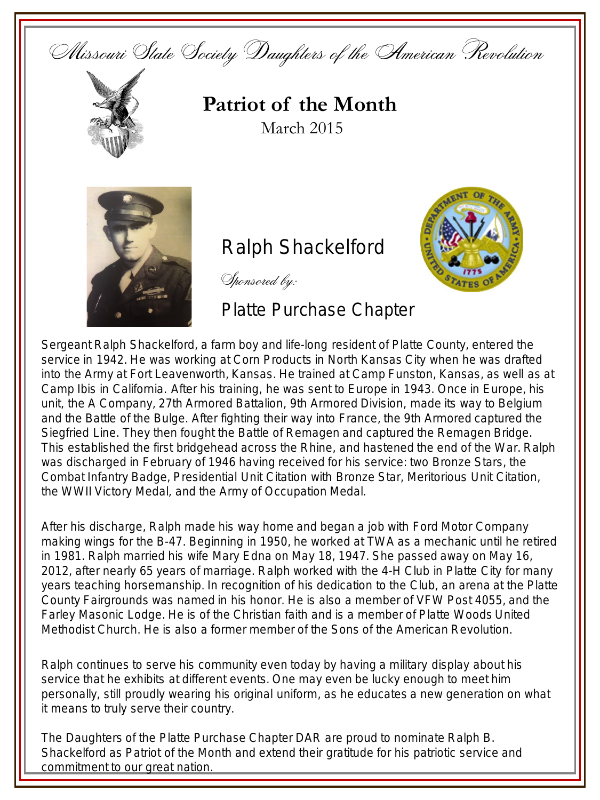Missouri State Society Daughters of the American Revolution



**Patriot of the Month** March 2015



## **Ralph Shackelford**

Sponsored by:

Platte Purchase Chapter

**Service**  $\mathcal{L}$ 

Sergeant Ralph Shackelford, a farm boy and life-long resident of Platte County, entered the service in 1942. He was working at Corn Products in North Kansas City when he was drafted into the Army at Fort Leavenworth, Kansas. He trained at Camp Funston, Kansas, as well as at Camp Ibis in California. After his training, he was sent to Europe in 1943. Once in Europe, his unit, the A Company, 27th Armored Battalion, 9th Armored Division, made its way to Belgium and the Battle of the Bulge. After fighting their way into France, the 9th Armored captured the Siegfried Line. They then fought the Battle of Remagen and captured the Remagen Bridge. This established the first bridgehead across the Rhine, and hastened the end of the War. Ralph was discharged in February of 1946 having received for his service: two Bronze Stars, the Combat Infantry Badge, Presidential Unit Citation with Bronze Star, Meritorious Unit Citation, the WWII Victory Medal, and the Army of Occupation Medal.

After his discharge, Ralph made his way home and began a job with Ford Motor Company making wings for the B-47. Beginning in 1950, he worked at TWA as a mechanic until he retired in 1981. Ralph married his wife Mary Edna on May 18, 1947. She passed away on May 16, 2012, after nearly 65 years of marriage. Ralph worked with the 4-H Club in Platte City for many years teaching horsemanship. In recognition of his dedication to the Club, an arena at the Platte County Fairgrounds was named in his honor. He is also a member of VFW Post 4055, and the Farley Masonic Lodge. He is of the Christian faith and is a member of Platte Woods United Methodist Church. He is also a former member of the Sons of the American Revolution.

Ralph continues to serve his community even today by having a military display about his service that he exhibits at different events. One may even be lucky enough to meet him personally, still proudly wearing his original uniform, as he educates a new generation on what it means to truly serve their country.

The Daughters of the Platte Purchase Chapter DAR are proud to nominate Ralph B. Shackelford as Patriot of the Month and extend their gratitude for his patriotic service and commitment to our great nation.